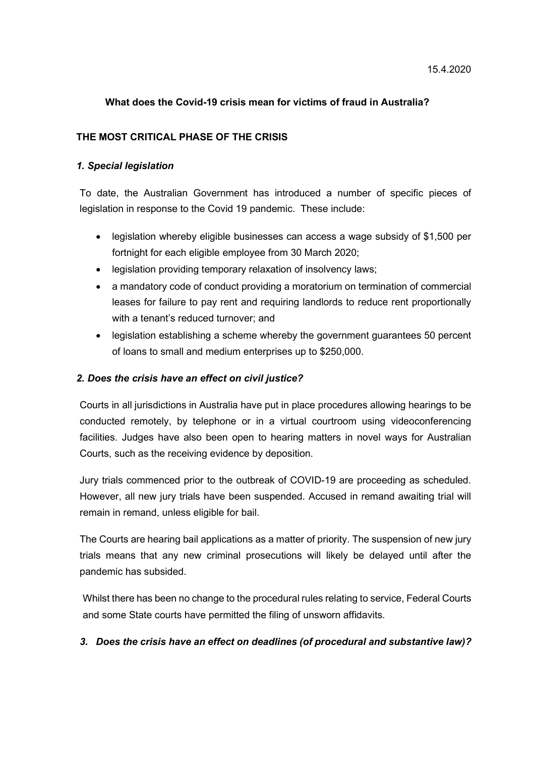#### What does the Covid-19 crisis mean for victims of fraud in Australia?

#### THE MOST CRITICAL PHASE OF THE CRISIS

#### 1. Special legislation

To date, the Australian Government has introduced a number of specific pieces of legislation in response to the Covid 19 pandemic. These include:

- legislation whereby eligible businesses can access a wage subsidy of \$1,500 per fortnight for each eligible employee from 30 March 2020;
- legislation providing temporary relaxation of insolvency laws;
- a mandatory code of conduct providing a moratorium on termination of commercial leases for failure to pay rent and requiring landlords to reduce rent proportionally with a tenant's reduced turnover; and
- legislation establishing a scheme whereby the government guarantees 50 percent of loans to small and medium enterprises up to \$250,000.

#### 2. Does the crisis have an effect on civil justice?

Courts in all jurisdictions in Australia have put in place procedures allowing hearings to be conducted remotely, by telephone or in a virtual courtroom using videoconferencing facilities. Judges have also been open to hearing matters in novel ways for Australian Courts, such as the receiving evidence by deposition.

Jury trials commenced prior to the outbreak of COVID-19 are proceeding as scheduled. However, all new jury trials have been suspended. Accused in remand awaiting trial will remain in remand, unless eligible for bail.

The Courts are hearing bail applications as a matter of priority. The suspension of new jury trials means that any new criminal prosecutions will likely be delayed until after the pandemic has subsided.

Whilst there has been no change to the procedural rules relating to service, Federal Courts and some State courts have permitted the filing of unsworn affidavits.

### 3. Does the crisis have an effect on deadlines (of procedural and substantive law)?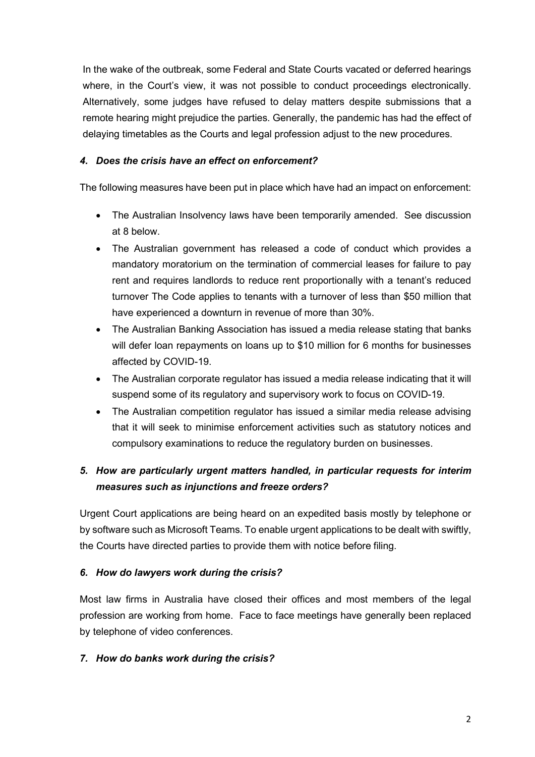In the wake of the outbreak, some Federal and State Courts vacated or deferred hearings where, in the Court's view, it was not possible to conduct proceedings electronically. Alternatively, some judges have refused to delay matters despite submissions that a remote hearing might prejudice the parties. Generally, the pandemic has had the effect of delaying timetables as the Courts and legal profession adjust to the new procedures.

### 4. Does the crisis have an effect on enforcement?

The following measures have been put in place which have had an impact on enforcement:

- The Australian Insolvency laws have been temporarily amended. See discussion at 8 below.
- The Australian government has released a code of conduct which provides a mandatory moratorium on the termination of commercial leases for failure to pay rent and requires landlords to reduce rent proportionally with a tenant's reduced turnover The Code applies to tenants with a turnover of less than \$50 million that have experienced a downturn in revenue of more than 30%.
- The Australian Banking Association has issued a media release stating that banks will defer loan repayments on loans up to \$10 million for 6 months for businesses affected by COVID-19.
- The Australian corporate regulator has issued a media release indicating that it will suspend some of its regulatory and supervisory work to focus on COVID-19.
- The Australian competition regulator has issued a similar media release advising that it will seek to minimise enforcement activities such as statutory notices and compulsory examinations to reduce the regulatory burden on businesses.

# 5. How are particularly urgent matters handled, in particular requests for interim measures such as injunctions and freeze orders?

Urgent Court applications are being heard on an expedited basis mostly by telephone or by software such as Microsoft Teams. To enable urgent applications to be dealt with swiftly, the Courts have directed parties to provide them with notice before filing.

### 6. How do lawyers work during the crisis?

Most law firms in Australia have closed their offices and most members of the legal profession are working from home. Face to face meetings have generally been replaced by telephone of video conferences.

### 7. How do banks work during the crisis?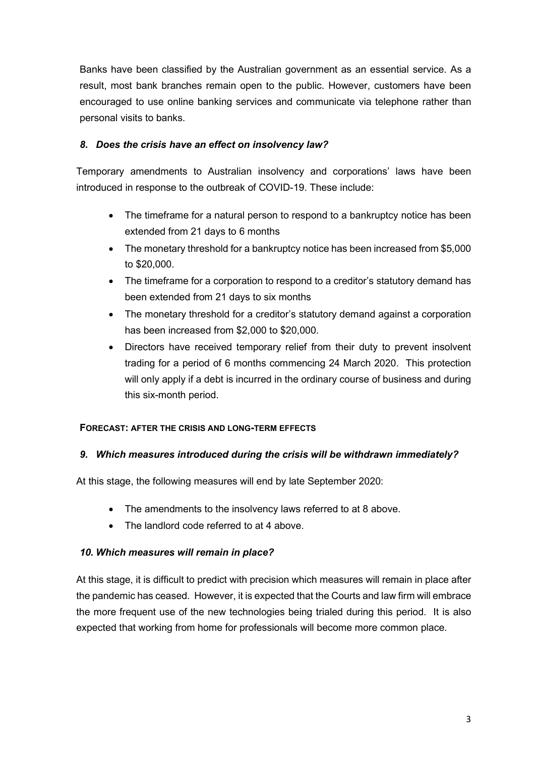Banks have been classified by the Australian government as an essential service. As a result, most bank branches remain open to the public. However, customers have been encouraged to use online banking services and communicate via telephone rather than personal visits to banks.

### 8. Does the crisis have an effect on insolvency law?

Temporary amendments to Australian insolvency and corporations' laws have been introduced in response to the outbreak of COVID-19. These include:

- The timeframe for a natural person to respond to a bankruptcy notice has been extended from 21 days to 6 months
- The monetary threshold for a bankruptcy notice has been increased from \$5,000 to \$20,000.
- The timeframe for a corporation to respond to a creditor's statutory demand has been extended from 21 days to six months
- The monetary threshold for a creditor's statutory demand against a corporation has been increased from \$2,000 to \$20,000.
- Directors have received temporary relief from their duty to prevent insolvent trading for a period of 6 months commencing 24 March 2020. This protection will only apply if a debt is incurred in the ordinary course of business and during this six-month period.

### FORECAST: AFTER THE CRISIS AND LONG-TERM EFFECTS

### 9. Which measures introduced during the crisis will be withdrawn immediately?

At this stage, the following measures will end by late September 2020:

- The amendments to the insolvency laws referred to at 8 above.
- The landlord code referred to at 4 above.

### 10. Which measures will remain in place?

At this stage, it is difficult to predict with precision which measures will remain in place after the pandemic has ceased. However, it is expected that the Courts and law firm will embrace the more frequent use of the new technologies being trialed during this period. It is also expected that working from home for professionals will become more common place.